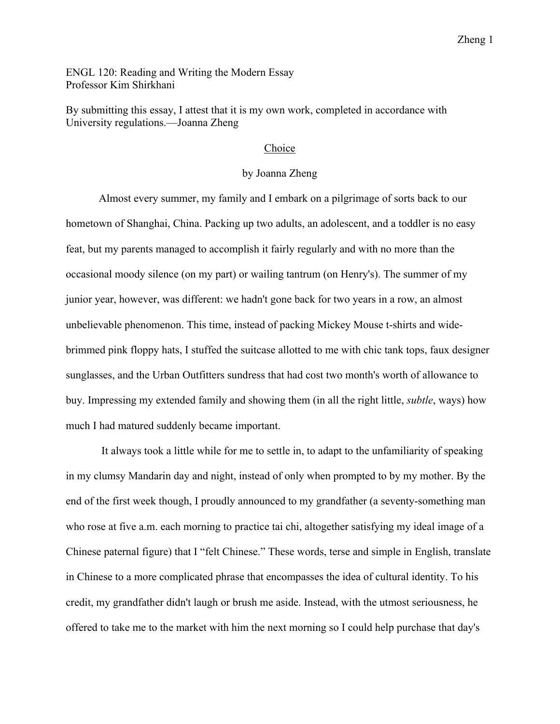ENGL 120: Reading and Writing the Modern Essay Professor Kim Shirkhani

By submitting this essay, I attest that it is my own work, completed in accordance with University regulations.—Joanna Zheng

## Choice

## by Joanna Zheng

Almost every summer, my family and I embark on a pilgrimage of sorts back to our hometown of Shanghai, China. Packing up two adults, an adolescent, and a toddler is no easy feat, but my parents managed to accomplish it fairly regularly and with no more than the occasional moody silence (on my part) or wailing tantrum (on Henry's). The summer of my junior year, however, was different: we hadn't gone back for two years in a row, an almost unbelievable phenomenon. This time, instead of packing Mickey Mouse t-shirts and widebrimmed pink floppy hats, I stuffed the suitcase allotted to me with chic tank tops, faux designer sunglasses, and the Urban Outfitters sundress that had cost two month's worth of allowance to buy. Impressing my extended family and showing them (in all the right little, *subtle*, ways) how much I had matured suddenly became important.

It always took a little while for me to settle in, to adapt to the unfamiliarity of speaking in my clumsy Mandarin day and night, instead of only when prompted to by my mother. By the end of the first week though, I proudly announced to my grandfather (a seventy-something man who rose at five a.m. each morning to practice tai chi, altogether satisfying my ideal image of a Chinese paternal figure) that I "felt Chinese." These words, terse and simple in English, translate in Chinese to a more complicated phrase that encompasses the idea of cultural identity. To his credit, my grandfather didn't laugh or brush me aside. Instead, with the utmost seriousness, he offered to take me to the market with him the next morning so I could help purchase that day's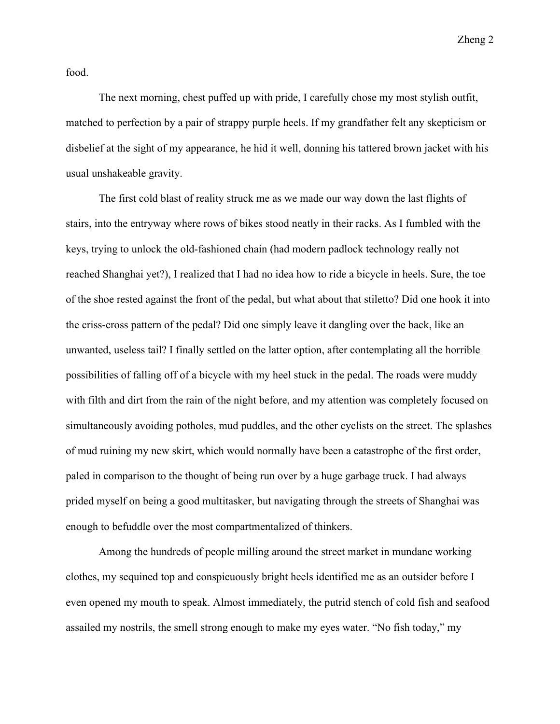Zheng 2

food.

The next morning, chest puffed up with pride, I carefully chose my most stylish outfit, matched to perfection by a pair of strappy purple heels. If my grandfather felt any skepticism or disbelief at the sight of my appearance, he hid it well, donning his tattered brown jacket with his usual unshakeable gravity.

The first cold blast of reality struck me as we made our way down the last flights of stairs, into the entryway where rows of bikes stood neatly in their racks. As I fumbled with the keys, trying to unlock the old-fashioned chain (had modern padlock technology really not reached Shanghai yet?), I realized that I had no idea how to ride a bicycle in heels. Sure, the toe of the shoe rested against the front of the pedal, but what about that stiletto? Did one hook it into the criss-cross pattern of the pedal? Did one simply leave it dangling over the back, like an unwanted, useless tail? I finally settled on the latter option, after contemplating all the horrible possibilities of falling off of a bicycle with my heel stuck in the pedal. The roads were muddy with filth and dirt from the rain of the night before, and my attention was completely focused on simultaneously avoiding potholes, mud puddles, and the other cyclists on the street. The splashes of mud ruining my new skirt, which would normally have been a catastrophe of the first order, paled in comparison to the thought of being run over by a huge garbage truck. I had always prided myself on being a good multitasker, but navigating through the streets of Shanghai was enough to befuddle over the most compartmentalized of thinkers.

Among the hundreds of people milling around the street market in mundane working clothes, my sequined top and conspicuously bright heels identified me as an outsider before I even opened my mouth to speak. Almost immediately, the putrid stench of cold fish and seafood assailed my nostrils, the smell strong enough to make my eyes water. "No fish today," my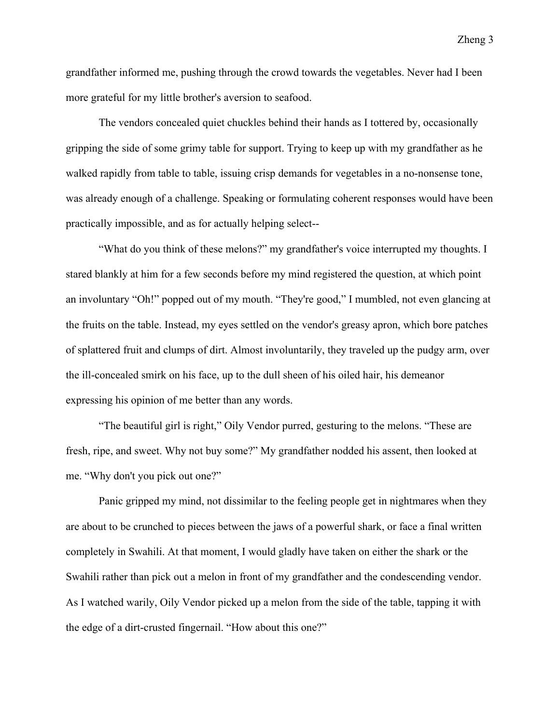grandfather informed me, pushing through the crowd towards the vegetables. Never had I been more grateful for my little brother's aversion to seafood.

The vendors concealed quiet chuckles behind their hands as I tottered by, occasionally gripping the side of some grimy table for support. Trying to keep up with my grandfather as he walked rapidly from table to table, issuing crisp demands for vegetables in a no-nonsense tone, was already enough of a challenge. Speaking or formulating coherent responses would have been practically impossible, and as for actually helping select--

"What do you think of these melons?" my grandfather's voice interrupted my thoughts. I stared blankly at him for a few seconds before my mind registered the question, at which point an involuntary "Oh!" popped out of my mouth. "They're good," I mumbled, not even glancing at the fruits on the table. Instead, my eyes settled on the vendor's greasy apron, which bore patches of splattered fruit and clumps of dirt. Almost involuntarily, they traveled up the pudgy arm, over the ill-concealed smirk on his face, up to the dull sheen of his oiled hair, his demeanor expressing his opinion of me better than any words.

"The beautiful girl is right," Oily Vendor purred, gesturing to the melons. "These are fresh, ripe, and sweet. Why not buy some?" My grandfather nodded his assent, then looked at me. "Why don't you pick out one?"

Panic gripped my mind, not dissimilar to the feeling people get in nightmares when they are about to be crunched to pieces between the jaws of a powerful shark, or face a final written completely in Swahili. At that moment, I would gladly have taken on either the shark or the Swahili rather than pick out a melon in front of my grandfather and the condescending vendor. As I watched warily, Oily Vendor picked up a melon from the side of the table, tapping it with the edge of a dirt-crusted fingernail. "How about this one?"